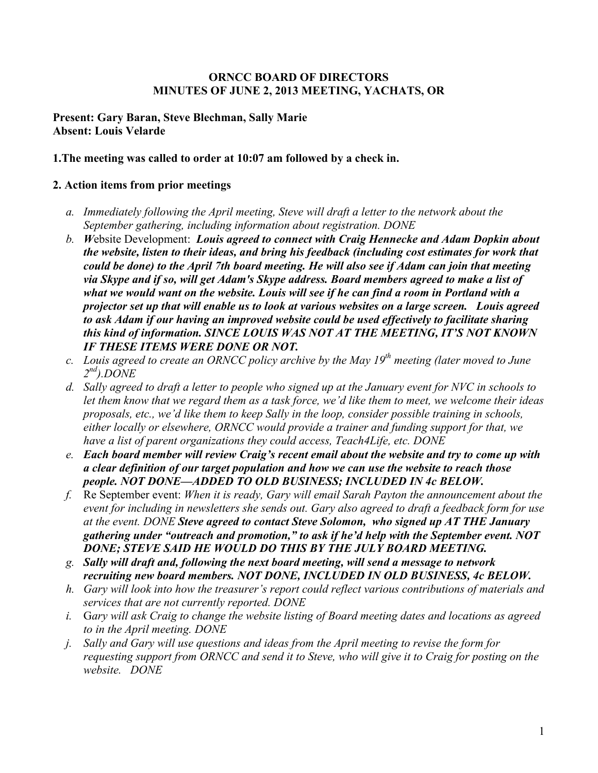#### **ORNCC BOARD OF DIRECTORS MINUTES OF JUNE 2, 2013 MEETING, YACHATS, OR**

#### **Present: Gary Baran, Steve Blechman, Sally Marie Absent: Louis Velarde**

#### **1.The meeting was called to order at 10:07 am followed by a check in.**

#### **2. Action items from prior meetings**

- *a. Immediately following the April meeting, Steve will draft a letter to the network about the September gathering, including information about registration. DONE*
- *b. W*ebsite Development: *Louis agreed to connect with Craig Hennecke and Adam Dopkin about the website, listen to their ideas, and bring his feedback (including cost estimates for work that could be done) to the April 7th board meeting. He will also see if Adam can join that meeting via Skype and if so, will get Adam's Skype address. Board members agreed to make a list of what we would want on the website. Louis will see if he can find a room in Portland with a projector set up that will enable us to look at various websites on a large screen. Louis agreed to ask Adam if our having an improved website could be used effectively to facilitate sharing this kind of information. SINCE LOUIS WAS NOT AT THE MEETING, IT'S NOT KNOWN IF THESE ITEMS WERE DONE OR NOT.*
- *c. Louis agreed to create an ORNCC policy archive by the May 19th meeting (later moved to June 2nd).DONE*
- *d. Sally agreed to draft a letter to people who signed up at the January event for NVC in schools to let them know that we regard them as a task force, we'd like them to meet, we welcome their ideas proposals, etc., we'd like them to keep Sally in the loop, consider possible training in schools, either locally or elsewhere, ORNCC would provide a trainer and funding support for that, we have a list of parent organizations they could access, Teach4Life, etc. DONE*
- *e. Each board member will review Craig's recent email about the website and try to come up with a clear definition of our target population and how we can use the website to reach those people. NOT DONE—ADDED TO OLD BUSINESS; INCLUDED IN 4c BELOW.*
- *f.* Re September event: *When it is ready, Gary will email Sarah Payton the announcement about the event for including in newsletters she sends out. Gary also agreed to draft a feedback form for use at the event. DONE Steve agreed to contact Steve Solomon, who signed up AT THE January gathering under "outreach and promotion," to ask if he'd help with the September event. NOT DONE; STEVE SAID HE WOULD DO THIS BY THE JULY BOARD MEETING.*
- *g. Sally will draft and, following the next board meeting, will send a message to network recruiting new board members. NOT DONE, INCLUDED IN OLD BUSINESS, 4c BELOW.*
- *h. Gary will look into how the treasurer's report could reflect various contributions of materials and services that are not currently reported. DONE*
- *i.* G*ary will ask Craig to change the website listing of Board meeting dates and locations as agreed to in the April meeting. DONE*
- *j. Sally and Gary will use questions and ideas from the April meeting to revise the form for requesting support from ORNCC and send it to Steve, who will give it to Craig for posting on the website. DONE*